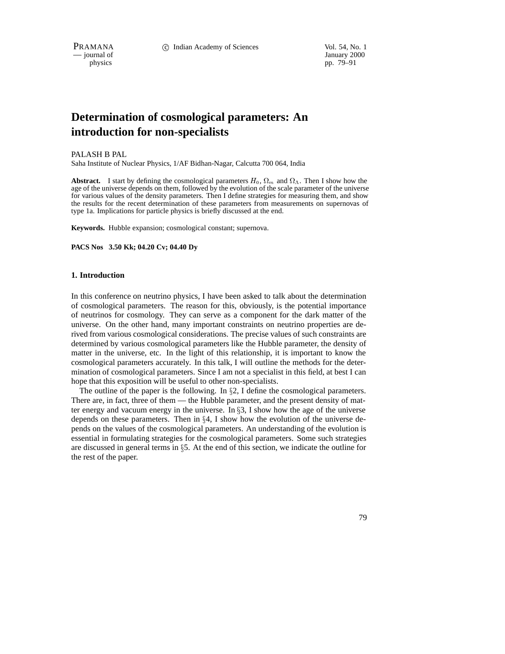$-$  journal of

physics pp. 79–91

# **Determination of cosmological parameters: An introduction for non-specialists**

#### PALASH B PAL

Saha Institute of Nuclear Physics, 1/AF Bidhan-Nagar, Calcutta 700 064, India

**Abstract.** I start by defining the cosmological parameters  $H_0$ ,  $\Omega_m$  and  $\Omega_{\Lambda}$ . Then I show how the age of the universe depends on them, followed by the evolution of the scale parameter of the universe for various values of the density parameters. Then I define strategies for measuring them, and show the results for the recent determination of these parameters from measurements on supernovas of type 1a. Implications for particle physics is briefly discussed at the end.

**Keywords.** Hubble expansion; cosmological constant; supernova.

**PACS Nos 3.50 Kk; 04.20 Cv; 04.40 Dy**

#### **1. Introduction**

In this conference on neutrino physics, I have been asked to talk about the determination of cosmological parameters. The reason for this, obviously, is the potential importance of neutrinos for cosmology. They can serve as a component for the dark matter of the universe. On the other hand, many important constraints on neutrino properties are derived from various cosmological considerations. The precise values of such constraints are determined by various cosmological parameters like the Hubble parameter, the density of matter in the universe, etc. In the light of this relationship, it is important to know the cosmological parameters accurately. In this talk, I will outline the methods for the determination of cosmological parameters. Since I am not a specialist in this field, at best I can hope that this exposition will be useful to other non-specialists.

The outline of the paper is the following. In  $\S 2$ , I define the cosmological parameters. There are, in fact, three of them — the Hubble parameter, and the present density of matter energy and vacuum energy in the universe. In  $\S$ 3, I show how the age of the universe depends on these parameters. Then in  $\S 4$ , I show how the evolution of the universe depends on the values of the cosmological parameters. An understanding of the evolution is essential in formulating strategies for the cosmological parameters. Some such strategies are discussed in general terms in  $\S$ 5. At the end of this section, we indicate the outline for the rest of the paper.

79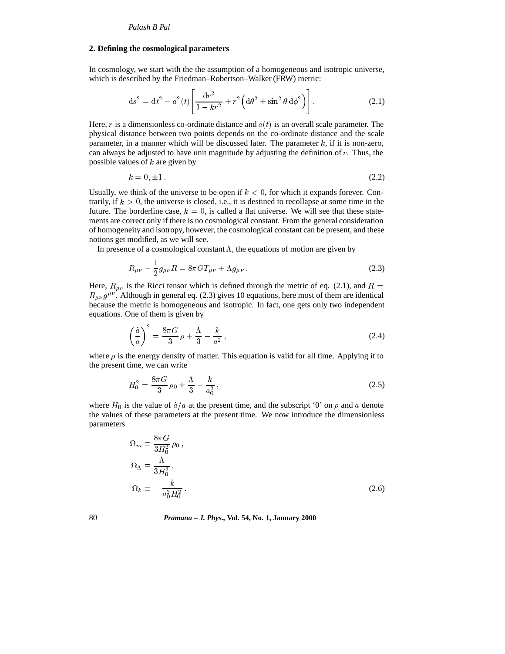### **2. Defining the cosmological parameters**

In cosmology, we start with the the assumption of a homogeneous and isotropic universe, which is described by the Friedman–Robertson–Walker (FRW) metric:

$$
ds^{2} = dt^{2} - a^{2}(t) \left[ \frac{dr^{2}}{1 - kr^{2}} + r^{2} \left( d\theta^{2} + \sin^{2} \theta d\phi^{2} \right) \right].
$$
 (2.1)

Here, r is a dimensionless co-ordinate distance and  $a(t)$  is an overall scale parameter. The physical distance between two points depends on the co-ordinate distance and the scale parameter, in a manner which will be discussed later. The parameter  $k$ , if it is non-zero, can always be adjusted to have unit magnitude by adjusting the definition of <sup>r</sup>. Thus, the possible values of  $k$  are given by

$$
k = 0, \pm 1. \tag{2.2}
$$

Usually, we think of the universe to be open if  $k < 0$ , for which it expands forever. Contrarily, if  $k > 0$ , the universe is closed, i.e., it is destined to recollapse at some time in the future. The borderline case,  $k = 0$ , is called a flat universe. We will see that these statements are correct only if there is no cosmological constant. From the general consideration of homogeneity and isotropy, however, the cosmological constant can be present, and these notions get modified, as we will see.

In presence of a cosmological constant  $\Lambda$ , the equations of motion are given by

$$
R_{\mu\nu} - \frac{1}{2}g_{\mu\nu}R = 8\pi GT_{\mu\nu} + \Lambda g_{\mu\nu} \,. \tag{2.3}
$$

Here,  $R_{\mu\nu}$  is the Ricci tensor which is defined through the metric of eq. (2.1), and  $R =$  $R_{\mu\nu}g^{\mu\nu}$ . Although in general eq. (2.3) gives 10 equations, here most of them are identical because the metric is homogeneous and isotropic. In fact, one gets only two independent equations. One of them is given by

$$
\left(\frac{\dot{a}}{a}\right)^2 = \frac{8\pi G}{3}\,\rho + \frac{\Lambda}{3} - \frac{k}{a^2}\,,\tag{2.4}
$$

where  $\rho$  is the energy density of matter. This equation is valid for all time. Applying it to the present time, we can write

$$
H_0^2 = \frac{8\pi G}{3}\,\rho_0 + \frac{\Lambda}{3} - \frac{k}{a_0^2},\tag{2.5}
$$

where  $H_0$  is the value of  $\dot{a}/a$  at the present time, and the subscript '0' on  $\rho$  and a denote the values of these parameters at the present time. We now introduce the dimensionless parameters

$$
\Omega_m \equiv \frac{8\pi G}{3H_0^2} \rho_0 ,
$$
  
\n
$$
\Omega_{\Lambda} \equiv \frac{\Lambda}{3H_0^2} ,
$$
  
\n
$$
\Omega_k \equiv -\frac{k}{a_0^2 H_0^2} .
$$
\n(2.6)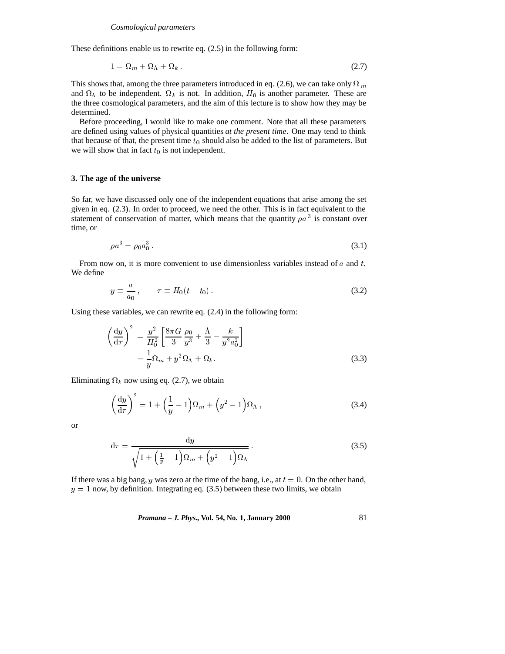These definitions enable us to rewrite eq. (2.5) in the following form:

$$
1 = \Omega_m + \Omega_\Lambda + \Omega_k \tag{2.7}
$$

This shows that, among the three parameters introduced in eq. (2.6), we can take only  $\Omega_m$ and  $\Omega_{\Lambda}$  to be independent.  $\Omega_{k}$  is not. In addition,  $H_{0}$  is another parameter. These are the three cosmological parameters, and the aim of this lecture is to show how they may be determined.

Before proceeding, I would like to make one comment. Note that all these parameters are defined using values of physical quantities *at the present time*. One may tend to think that because of that, the present time  $t_0$  should also be added to the list of parameters. But we will show that in fact  $t_0$  is not independent.

# **3. The age of the universe**

So far, we have discussed only one of the independent equations that arise among the set given in eq. (2.3). In order to proceed, we need the other. This is in fact equivalent to the statement of conservation of matter, which means that the quantity  $\rho a^3$  is constant over time, or

$$
\rho a^3 = \rho_0 a_0^3. \tag{3.1}
$$

From now on, it is more convenient to use dimensionless variables instead of a and t. We define

$$
y \equiv \frac{a}{a_0}, \qquad \tau \equiv H_0(t - t_0). \tag{3.2}
$$

Using these variables, we can rewrite eq. (2.4) in the following form:

$$
\left(\frac{dy}{d\tau}\right)^2 = \frac{y^2}{H_0^2} \left[\frac{8\pi G}{3} \frac{\rho_0}{y^3} + \frac{\Lambda}{3} - \frac{k}{y^2 a_0^2}\right] \n= \frac{1}{y} \Omega_m + y^2 \Omega_\Lambda + \Omega_k.
$$
\n(3.3)

Eliminating  $\Omega_k$  now using eq. (2.7), we obtain

$$
\left(\frac{dy}{d\tau}\right)^2 = 1 + \left(\frac{1}{y} - 1\right)\Omega_m + \left(y^2 - 1\right)\Omega_\Lambda, \tag{3.4}
$$

or

$$
d\tau = \frac{dy}{\sqrt{1 + \left(\frac{1}{y} - 1\right)\Omega_m + \left(y^2 - 1\right)\Omega_\Lambda}}.\tag{3.5}
$$

If there was a big bang, y was zero at the time of the bang, i.e., at  $t = 0$ . On the other hand,  $y = 1$  now, by definition. Integrating eq. (3.5) between these two limits, we obtain

*Pramana – J. Phys.,* **Vol. 54, No. 1, January 2000** 81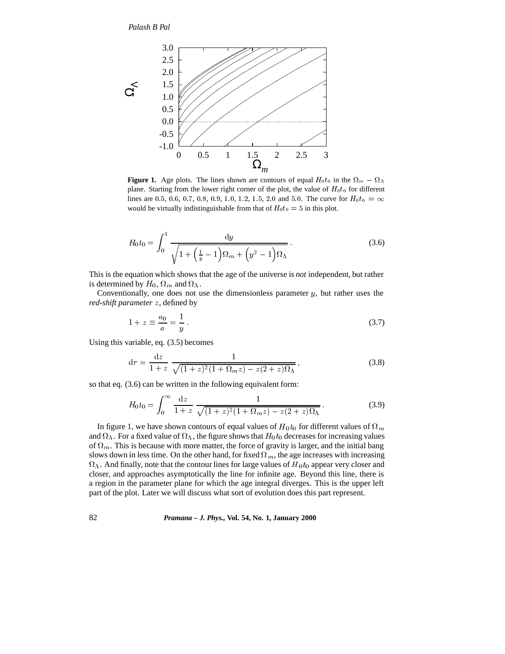

**Figure 1.** Age plots. The lines shown are contours of equal  $H_0 t_0$  in the  $\Omega_m - \Omega_\Lambda$ plane. Starting from the lower right corner of the plot, the value of  $H_0t_0$  for different lines are 0.5, 0.6, 0.7, 0.8, 0.9, 1.0, 1.2, 1.5, 2.0 and 5.0. The curve for  $H_0t_0 = \infty$ would be virtually indistinguishable from that of  $H_0t_0 = 5$  in this plot.

$$
H_0 t_0 = \int_0^1 \frac{\mathrm{d}y}{\sqrt{1 + \left(\frac{1}{y} - 1\right)\Omega_m + \left(y^2 - 1\right)\Omega_\Lambda}}.\tag{3.6}
$$

This is the equation which shows that the age of the universe is *not* independent, but rather is determined by  $H_0$ ,  $\Omega_m$  and  $\Omega_{\Lambda}$ .

Conventionally, one does not use the dimensionless parameter  $y$ , but rather uses the *red-shift parameter* <sup>z</sup>, defined by

$$
1 + z \equiv \frac{a_0}{a} = \frac{1}{y} \,. \tag{3.7}
$$

Using this variable, eq. (3.5) becomes

$$
d\tau = \frac{dz}{1+z} \frac{1}{\sqrt{(1+z)^2 (1+\Omega_m z) - z(2+z)\Omega_\Lambda}},
$$
\n(3.8)

so that eq. (3.6) can be written in the following equivalent form:

$$
H_0 t_0 = \int_0^\infty \frac{\mathrm{d}z}{1+z} \, \frac{1}{\sqrt{(1+z)^2 (1+\Omega_m z) - z(2+z)\Omega_\Lambda}} \,. \tag{3.9}
$$

In figure 1, we have shown contours of equal values of  $H_0t_0$  for different values of  $\Omega_m$ and  $\Omega_{\Lambda}$ . For a fixed value of  $\Omega_{\Lambda}$ , the figure shows that  $H_0t_0$  decreases for increasing values of  $\Omega_m$ . This is because with more matter, the force of gravity is larger, and the initial bang slows down in less time. On the other hand, for fixed  $\Omega_m$ , the age increases with increasing  $\Omega_{\Lambda}$ . And finally, note that the contour lines for large values of  $H_0t_0$  appear very closer and closer, and approaches asymptotically the line for infinite age. Beyond this line, there is a region in the parameter plane for which the age integral diverges. This is the upper left part of the plot. Later we will discuss what sort of evolution does this part represent.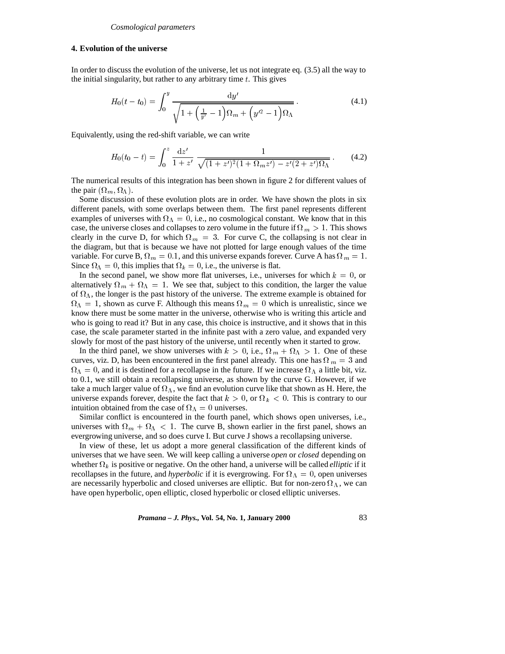#### **4. Evolution of the universe**

In order to discuss the evolution of the universe, let us not integrate eq. (3.5) all the way to the initial singularity, but rather to any arbitrary time  $t$ . This gives

$$
H_0(t - t_0) = \int_0^y \frac{\mathrm{d}y'}{\sqrt{1 + \left(\frac{1}{y'} - 1\right)\Omega_m + \left(y'^2 - 1\right)\Omega_\Lambda}}\,. \tag{4.1}
$$

Equivalently, using the red-shift variable, we can write

$$
H_0(t_0 - t) = \int_0^z \frac{\mathrm{d}z'}{1 + z'} \frac{1}{\sqrt{(1 + z')^2 (1 + \Omega_m z') - z'(2 + z') \Omega_\Lambda}}.\tag{4.2}
$$

The numerical results of this integration has been shown in figure 2 for different values of the pair  $(\Omega_m, \Omega_\Lambda)$ .

Some discussion of these evolution plots are in order. We have shown the plots in six different panels, with some overlaps between them. The first panel represents different examples of universes with  $\Omega_{\Lambda} = 0$ , i.e., no cosmological constant. We know that in this case, the universe closes and collapses to zero volume in the future if  $\Omega_m > 1$ . This shows clearly in the curve D, for which  $\Omega_m = 3$ . For curve C, the collapsing is not clear in the diagram, but that is because we have not plotted for large enough values of the time variable. For curve B,  $\Omega_m = 0.1$ , and this universe expands forever. Curve A has  $\Omega_m = 1$ . Since  $\Omega_{\Lambda} = 0$ , this implies that  $\Omega_k = 0$ , i.e., the universe is flat.

In the second panel, we show more flat universes, i.e., universes for which  $k = 0$ , or alternatively  $\Omega_m + \Omega_{\Lambda} = 1$ . We see that, subject to this condition, the larger the value of  $\Omega_{\Lambda}$ , the longer is the past history of the universe. The extreme example is obtained for  $\Omega_{\Lambda} = 1$ , shown as curve F. Although this means  $\Omega_m = 0$  which is unrealistic, since we know there must be some matter in the universe, otherwise who is writing this article and who is going to read it? But in any case, this choice is instructive, and it shows that in this case, the scale parameter started in the infinite past with a zero value, and expanded very slowly for most of the past history of the universe, until recently when it started to grow.

In the third panel, we show universes with  $k > 0$ , i.e.,  $\Omega_m + \Omega_{\Lambda} > 1$ . One of these curves, viz. D, has been encountered in the first panel already. This one has  $\Omega_m = 3$  and  $\Omega_{\Lambda} = 0$ , and it is destined for a recollapse in the future. If we increase  $\Omega_{\Lambda}$  a little bit, viz. to 0.1, we still obtain a recollapsing universe, as shown by the curve G. However, if we take a much larger value of  $\Omega_{\Lambda},$  we find an evolution curve like that shown as H. Here, the universe expands forever, despite the fact that  $k > 0$ , or  $\Omega_k < 0$ . This is contrary to our intuition obtained from the case of  $\Omega_{\Lambda} = 0$  universes.

Similar conflict is encountered in the fourth panel, which shows open universes, i.e., universes with  $\Omega_m + \Omega_{\Lambda} < 1$ . The curve B, shown earlier in the first panel, shows an evergrowing universe, and so does curve I. But curve J shows a recollapsing universe.

In view of these, let us adopt a more general classification of the different kinds of universes that we have seen. We will keep calling a universe *open* or *closed* depending on whether  $\Omega_k$  is positive or negative. On the other hand, a universe will be called *elliptic* if it recollapses in the future, and *hyperbolic* if it is evergrowing. For  $\Omega_{\Lambda} = 0$ , open universes are necessarily hyperbolic and closed universes are elliptic. But for non-zero  $\Omega_{\Lambda}$ , we can have open hyperbolic, open elliptic, closed hyperbolic or closed elliptic universes.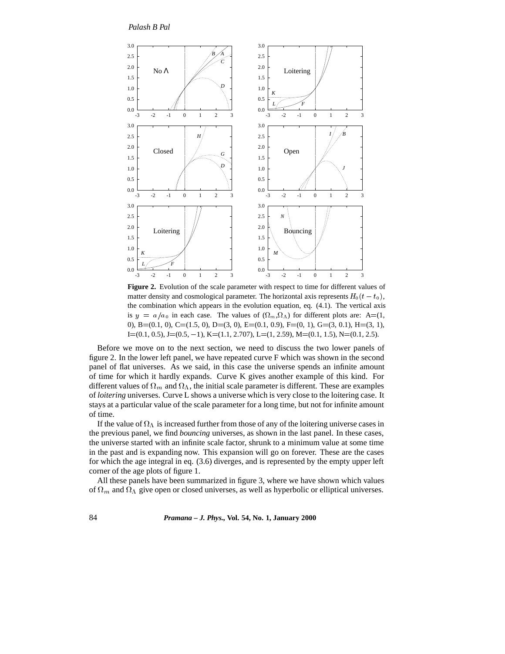#### *Palash B Pal*



**Figure 2.** Evolution of the scale parameter with respect to time for different values of matter density and cosmological parameter. The horizontal axis represents  $H_0(t - t_0)$ , the combination which appears in the evolution equation, eq. (4.1). The vertical axis is  $y = a/a_0$  in each case. The values of  $(\Omega_m, \Omega_\Lambda)$  for different plots are: A=(1, 0), B=(0.1, 0), C=(1.5, 0), D=(3, 0), E=(0.1, 0.9), F=(0, 1), G=(3, 0.1), H=(3, 1), I=(0.1, 0.5), J=(0.5, -1), K=(1.1, 2.707), L=(1, 2.59), M=(0.1, 1.5), N=(0.1, 2.5).

Before we move on to the next section, we need to discuss the two lower panels of figure 2. In the lower left panel, we have repeated curve F which was shown in the second panel of flat universes. As we said, in this case the universe spends an infinite amount of time for which it hardly expands. Curve K gives another example of this kind. For different values of  $\Omega_m$  and  $\Omega_{\Lambda}$ , the initial scale parameter is different. These are examples of *loitering* universes. Curve L shows a universe which is very close to the loitering case. It stays at a particular value of the scale parameter for a long time, but not for infinite amount of time.

If the value of  $\Omega_{\Lambda}$  is increased further from those of any of the loitering universe cases in the previous panel, we find *bouncing* universes, as shown in the last panel. In these cases, the universe started with an infinite scale factor, shrunk to a minimum value at some time in the past and is expanding now. This expansion will go on forever. These are the cases for which the age integral in eq. (3.6) diverges, and is represented by the empty upper left corner of the age plots of figure 1.

All these panels have been summarized in figure 3, where we have shown which values of  $\Omega_m$  and  $\Omega_{\Lambda}$  give open or closed universes, as well as hyperbolic or elliptical universes.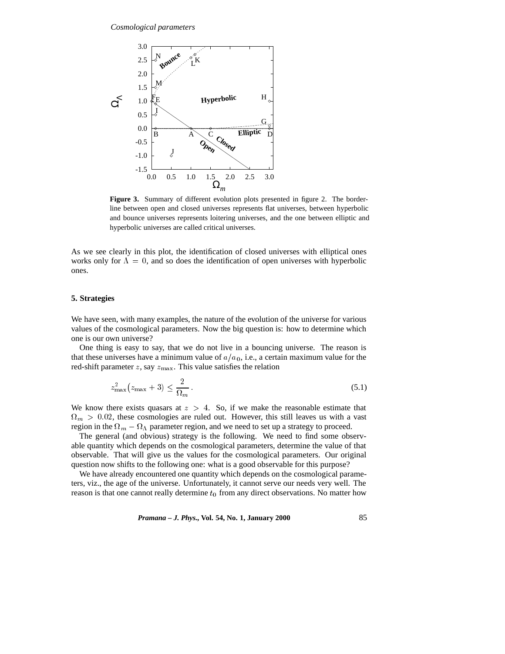

**Figure 3.** Summary of different evolution plots presented in figure 2. The borderline between open and closed universes represents flat universes, between hyperbolic and bounce universes represents loitering universes, and the one between elliptic and hyperbolic universes are called critical universes.

As we see clearly in this plot, the identification of closed universes with elliptical ones works only for  $\Lambda = 0$ , and so does the identification of open universes with hyperbolic ones.

# **5. Strategies**

We have seen, with many examples, the nature of the evolution of the universe for various values of the cosmological parameters. Now the big question is: how to determine which one is our own universe?

One thing is easy to say, that we do not live in a bouncing universe. The reason is that these universes have a minimum value of  $a/a_0$ , i.e., a certain maximum value for the red-shift parameter z, say  $z_{\text{max}}$ . This value satisfies the relation

$$
z_{\text{max}}^2 \left( z_{\text{max}} + 3 \right) \le \frac{2}{\Omega_m} \,. \tag{5.1}
$$

We know there exists quasars at  $z > 4$ . So, if we make the reasonable estimate that  $\Omega_m > 0.02$ , these cosmologies are ruled out. However, this still leaves us with a vast region in the  $\Omega_m - \Omega_{\Lambda}$  parameter region, and we need to set up a strategy to proceed.

The general (and obvious) strategy is the following. We need to find some observable quantity which depends on the cosmological parameters, determine the value of that observable. That will give us the values for the cosmological parameters. Our original question now shifts to the following one: what is a good observable for this purpose?

We have already encountered one quantity which depends on the cosmological parameters, viz., the age of the universe. Unfortunately, it cannot serve our needs very well. The reason is that one cannot really determine  $t_0$  from any direct observations. No matter how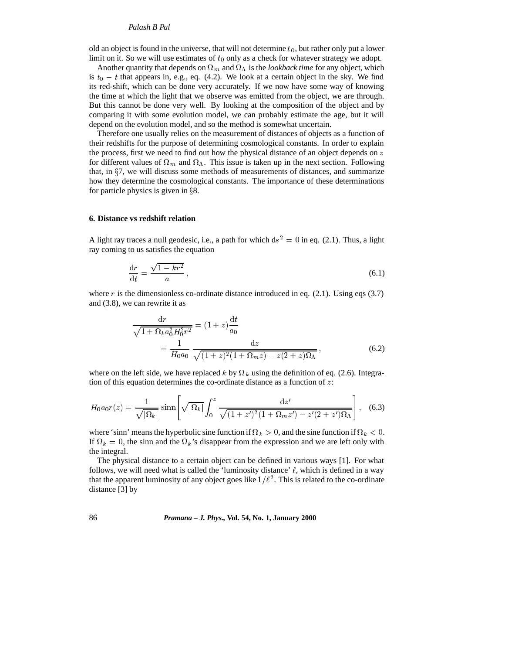## *Palash B Pal*

old an object is found in the universe, that will not determine  $t<sub>0</sub>$ , but rather only put a lower limit on it. So we will use estimates of  $t_0$  only as a check for whatever strategy we adopt.

Another quantity that depends on  $\Omega_m$  and  $\Omega_{\Lambda}$  is the *lookback time* for any object, which is  $t_0 - t$  that appears in, e.g., eq. (4.2). We look at a certain object in the sky. We find its red-shift, which can be done very accurately. If we now have some way of knowing the time at which the light that we observe was emitted from the object, we are through. But this cannot be done very well. By looking at the composition of the object and by comparing it with some evolution model, we can probably estimate the age, but it will depend on the evolution model, and so the method is somewhat uncertain.

Therefore one usually relies on the measurement of distances of objects as a function of their redshifts for the purpose of determining cosmological constants. In order to explain the process, first we need to find out how the physical distance of an object depends on  $z$ for different values of  $\Omega_m$  and  $\Omega_{\Lambda}$ . This issue is taken up in the next section. Following that, in  $\S7$ , we will discuss some methods of measurements of distances, and summarize how they determine the cosmological constants. The importance of these determinations for particle physics is given in  $\S 8$ .

## **6. Distance vs redshift relation**

A light ray traces a null geodesic, i.e., a path for which ds  $^2 = 0$  in eq. (2.1). Thus, a light ray coming to us satisfies the equation

$$
\frac{\mathrm{d}r}{\mathrm{d}t} = \frac{\sqrt{1 - kr^2}}{a},\tag{6.1}
$$

where r is the dimensionless co-ordinate distance introduced in eq.  $(2.1)$ . Using eqs  $(3.7)$ and (3.8), we can rewrite it as

$$
\frac{dr}{\sqrt{1 + \Omega_k a_0^2 H_0^2 r^2}} = (1 + z) \frac{dt}{a_0}
$$

$$
= \frac{1}{H_0 a_0} \frac{dz}{\sqrt{(1 + z)^2 (1 + \Omega_m z) - z(2 + z) \Omega_\Lambda}},
$$
(6.2)

where on the left side, we have replaced k by  $\Omega_k$  using the definition of eq. (2.6). Integration of this equation determines the co-ordinate distance as a function of  $z$ :

$$
H_0 a_0 r(z) = \frac{1}{\sqrt{|\Omega_k|}} \sinh\left[\sqrt{|\Omega_k|} \int_0^z \frac{dz'}{\sqrt{(1+z')^2 (1+\Omega_m z') - z'(2+z') \Omega_\Lambda}}\right], \quad (6.3)
$$

where 'sinn' means the hyperbolic sine function if  $\Omega_k > 0$ , and the sine function if  $\Omega_k < 0$ . If  $\Omega_k = 0$ , the sinn and the  $\Omega_k$ 's disappear from the expression and we are left only with the integral.

The physical distance to a certain object can be defined in various ways [1]. For what follows, we will need what is called the 'luminosity distance'  $\ell$ , which is defined in a way that the apparent luminosity of any object goes like  $1/\ell^2$ . This is related to the co-ordinate distance [3] by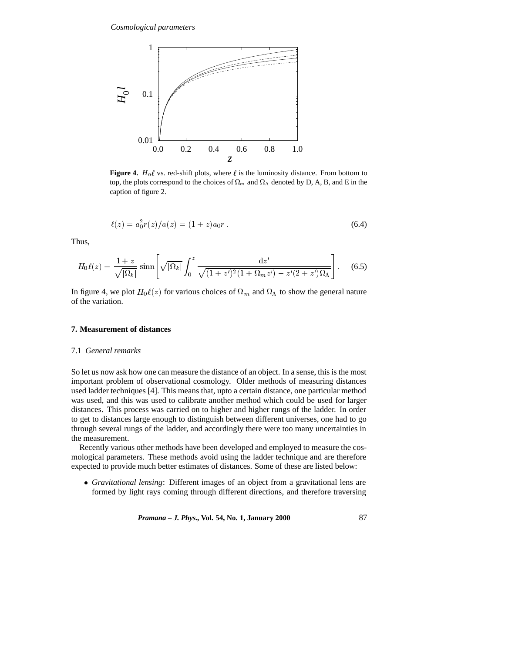

**Figure 4.**  $H_0\ell$  vs. red-shift plots, where  $\ell$  is the luminosity distance. From bottom to top, the plots correspond to the choices of  $\Omega_m$  and  $\Omega_{\Lambda}$  denoted by D, A, B, and E in the caption of figure 2.

$$
\ell(z) = a_0^2 r(z) / a(z) = (1+z)a_0 r . \tag{6.4}
$$

Thus,

$$
H_0 \ell(z) = \frac{1+z}{\sqrt{|\Omega_k|}} \sinh\left[\sqrt{|\Omega_k|} \int_0^z \frac{\mathrm{d}z'}{\sqrt{(1+z')^2 (1+\Omega_m z') - z'(2+z') \Omega_\Lambda}}\right]. \tag{6.5}
$$

In figure 4, we plot  $H_0\ell(z)$  for various choices of  $\Omega_m$  and  $\Omega_{\Lambda}$  to show the general nature of the variation.

### **7. Measurement of distances**

#### 7.1 *General remarks*

So let us now ask how one can measure the distance of an object. In a sense, this is the most important problem of observational cosmology. Older methods of measuring distances used ladder techniques [4]. This means that, upto a certain distance, one particular method was used, and this was used to calibrate another method which could be used for larger distances. This process was carried on to higher and higher rungs of the ladder. In order to get to distances large enough to distinguish between different universes, one had to go through several rungs of the ladder, and accordingly there were too many uncertainties in the measurement.

Recently various other methods have been developed and employed to measure the cosmological parameters. These methods avoid using the ladder technique and are therefore expected to provide much better estimates of distances. Some of these are listed below:

 *Gravitational lensing*: Different images of an object from a gravitational lens are formed by light rays coming through different directions, and therefore traversing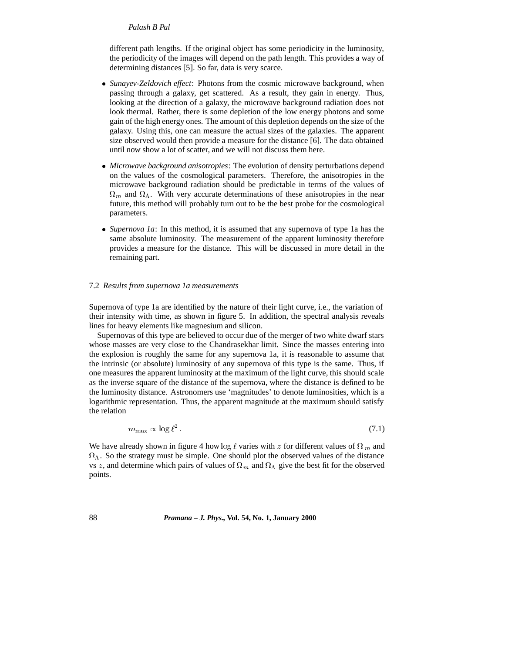# *Palash B Pal*

different path lengths. If the original object has some periodicity in the luminosity, the periodicity of the images will depend on the path length. This provides a way of determining distances [5]. So far, data is very scarce.

- *Sunayev-Zeldovich effect*: Photons from the cosmic microwave background, when passing through a galaxy, get scattered. As a result, they gain in energy. Thus, looking at the direction of a galaxy, the microwave background radiation does not look thermal. Rather, there is some depletion of the low energy photons and some gain of the high energy ones. The amount of this depletion depends on the size of the galaxy. Using this, one can measure the actual sizes of the galaxies. The apparent size observed would then provide a measure for the distance [6]. The data obtained until now show a lot of scatter, and we will not discuss them here.
- *Microwave background anisotropies*: The evolution of density perturbations depend on the values of the cosmological parameters. Therefore, the anisotropies in the microwave background radiation should be predictable in terms of the values of  $\Omega_m$  and  $\Omega_{\Lambda}$ . With very accurate determinations of these anisotropies in the near future, this method will probably turn out to be the best probe for the cosmological parameters.
- *Supernova 1a*: In this method, it is assumed that any supernova of type 1a has the same absolute luminosity. The measurement of the apparent luminosity therefore provides a measure for the distance. This will be discussed in more detail in the remaining part.

## 7.2 *Results from supernova 1a measurements*

Supernova of type 1a are identified by the nature of their light curve, i.e., the variation of their intensity with time, as shown in figure 5. In addition, the spectral analysis reveals lines for heavy elements like magnesium and silicon.

Supernovas of this type are believed to occur due of the merger of two white dwarf stars whose masses are very close to the Chandrasekhar limit. Since the masses entering into the explosion is roughly the same for any supernova 1a, it is reasonable to assume that the intrinsic (or absolute) luminosity of any supernova of this type is the same. Thus, if one measures the apparent luminosity at the maximum of the light curve, this should scale as the inverse square of the distance of the supernova, where the distance is defined to be the luminosity distance. Astronomers use 'magnitudes' to denote luminosities, which is a logarithmic representation. Thus, the apparent magnitude at the maximum should satisfy the relation

$$
m_{\text{max}} \propto \log \ell^2 \,. \tag{7.1}
$$

We have already shown in figure 4 how log  $\ell$  varies with z for different values of  $\Omega_m$  and  $\Omega_{\Lambda}$ . So the strategy must be simple. One should plot the observed values of the distance vs z, and determine which pairs of values of  $\Omega_m$  and  $\Omega_{\Lambda}$  give the best fit for the observed points.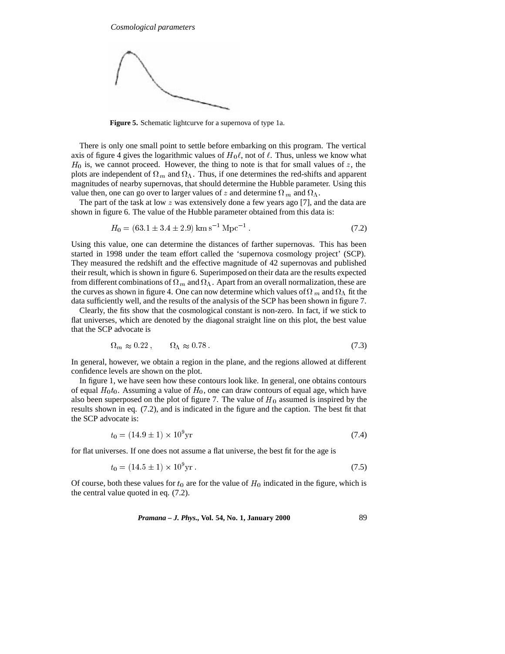

**Figure 5.** Schematic lightcurve for a supernova of type 1a.

There is only one small point to settle before embarking on this program. The vertical axis of figure 4 gives the logarithmic values of  $H_0\ell$ , not of  $\ell$ . Thus, unless we know what  $H_0$  is, we cannot proceed. However, the thing to note is that for small values of z, the plots are independent of  $\Omega_m$  and  $\Omega_{\Lambda}$ . Thus, if one determines the red-shifts and apparent magnitudes of nearby supernovas, that should determine the Hubble parameter. Using this value then, one can go over to larger values of z and determine  $\Omega_m$  and  $\Omega_{\Lambda}$ .

The part of the task at low  $z$  was extensively done a few years ago [7], and the data are shown in figure 6. The value of the Hubble parameter obtained from this data is:

$$
H_0 = (63.1 \pm 3.4 \pm 2.9) \text{ km s}^{-1} \text{ Mpc}^{-1}.
$$
 (7.2)

Using this value, one can determine the distances of farther supernovas. This has been started in 1998 under the team effort called the 'supernova cosmology project' (SCP). They measured the redshift and the effective magnitude of 42 supernovas and published their result, which is shown in figure 6. Superimposed on their data are the results expected from different combinations of  $\Omega_m$  and  $\Omega_{\Lambda}$ . Apart from an overall normalization, these are the curves as shown in figure 4. One can now determine which values of  $\Omega_m$  and  $\Omega_{\Lambda}$  fit the data sufficiently well, and the results of the analysis of the SCP has been shown in figure 7.

Clearly, the fits show that the cosmological constant is non-zero. In fact, if we stick to flat universes, which are denoted by the diagonal straight line on this plot, the best value that the SCP advocate is

$$
\Omega_m \approx 0.22 \,, \qquad \Omega_\Lambda \approx 0.78 \,. \tag{7.3}
$$

In general, however, we obtain a region in the plane, and the regions allowed at different confidence levels are shown on the plot.

In figure 1, we have seen how these contours look like. In general, one obtains contours of equal  $H_0t_0$ . Assuming a value of  $H_0$ , one can draw contours of equal age, which have also been superposed on the plot of figure 7. The value of  $H_0$  assumed is inspired by the results shown in eq. (7.2), and is indicated in the figure and the caption. The best fit that the SCP advocate is:

$$
t_0 = (14.9 \pm 1) \times 10^9 \text{yr}
$$
\n(7.4)

for flat universes. If one does not assume a flat universe, the best fit for the age is

$$
t_0 = (14.5 \pm 1) \times 10^9 \text{yr} \,. \tag{7.5}
$$

Of course, both these values for  $t_0$  are for the value of  $H_0$  indicated in the figure, which is the central value quoted in eq. (7.2).

*Pramana – J. Phys.,* **Vol. 54, No. 1, January 2000** 89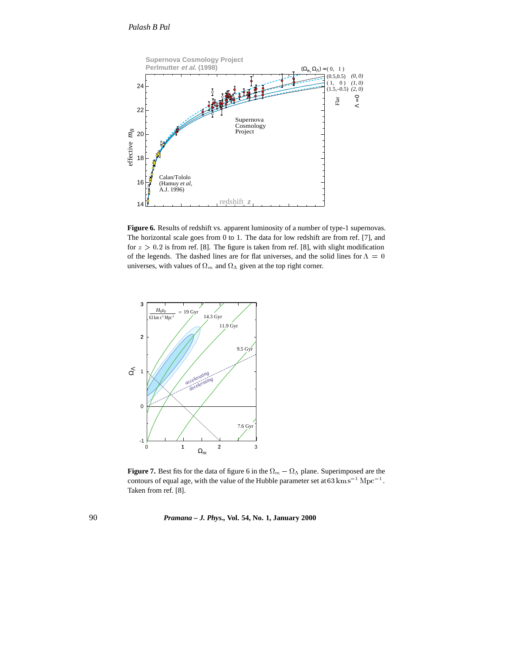

**Fi**<br>Th<br>fo The horizontal scale goes from 0 to 1. The data for low redshift are from ref. [7], and for  $z > 0.2$  is from ref. [8]. The figure is taken from ref. [8], with slight modification of the legends. The dashed lines are for flat universes, and the solid lines for  $\Lambda = 0$ Figure 6. Results of redshift vs. apparent luminosity of a number of type-1 supernovas.  $\cdot$ universes, with values of  $\Omega_m$  and  $\Omega_{\Lambda}$  given at the top right corner.



**Figure 7.** Best fits for the data of figure 6 in the  $\Omega_m - \Omega_{\Lambda}$  plane. Superimposed are the **Best fits for the data of higher of in the century of**  $\mu_{\text{A}}$  **plane. Superimposed are the contours of equal age, with the value of the Hubble parameter set at 63 km s<sup>-1</sup> Mpc<sup>-1</sup>.** Taken from ref. [8].